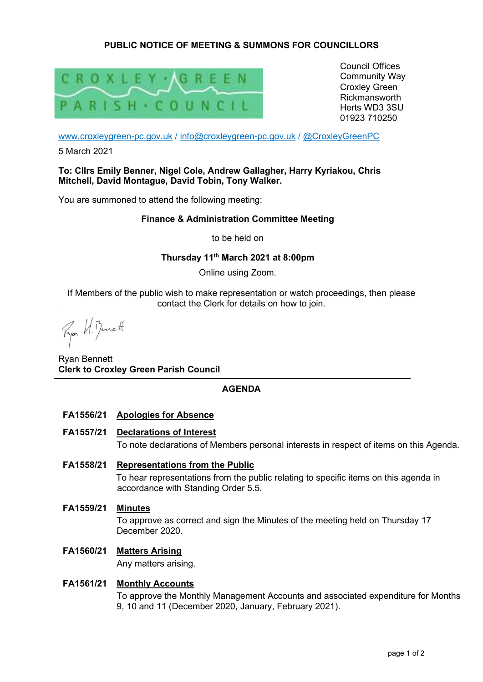# **PUBLIC NOTICE OF MEETING & SUMMONS FOR COUNCILLORS**



Council Offices Community Way Croxley Green Rickmansworth Herts WD3 3SU 01923 710250

www.croxleygreen-pc.gov.uk / info@croxleygreen-pc.gov.uk / @CroxleyGreenPC

5 March 2021

#### **To: Cllrs Emily Benner, Nigel Cole, Andrew Gallagher, Harry Kyriakou, Chris Mitchell, David Montague, David Tobin, Tony Walker.**

You are summoned to attend the following meeting:

#### **Finance & Administration Committee Meeting**

to be held on

## **Thursday 11th March 2021 at 8:00pm**

Online using Zoom.

If Members of the public wish to make representation or watch proceedings, then please contact the Clerk for details on how to join.

Ryon U. Benett

Ryan Bennett **Clerk to Croxley Green Parish Council** 

### **AGENDA**

- **FA1556/21 Apologies for Absence**
- **FA1557/21 Declarations of Interest**  To note declarations of Members personal interests in respect of items on this Agenda.
- **FA1558/21 Representations from the Public**  To hear representations from the public relating to specific items on this agenda in accordance with Standing Order 5.5.
- **FA1559/21 Minutes**

To approve as correct and sign the Minutes of the meeting held on Thursday 17 December 2020.

# **FA1560/21 Matters Arising**

Any matters arising.

### **FA1561/21 Monthly Accounts**

To approve the Monthly Management Accounts and associated expenditure for Months 9, 10 and 11 (December 2020, January, February 2021).